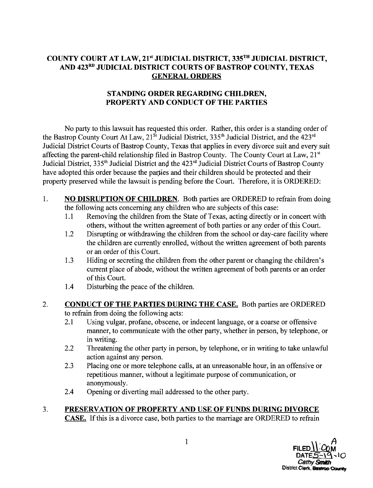## COUNTY COURT AT LAW, 21<sup>st</sup> JUDICIAL DISTRICT, 335<sup>TH</sup> JUDICIAL DISTRICT, AND 423RD JUDICIAL DISTRICT COURTS OF BASTROP COUNTY, TEXAS GENERAL ORDERS

### STANDING ORDER REGARDING CHILDREN, PROPERTY AND CONDUCT OF THE PARTIES

No party to this lawsuit has requested this order. Rather, this order is a standing order of the Bastrop County Court At Law, 21<sup>st</sup> Judicial District, 335<sup>th</sup> Judicial District, and the 423<sup>rd</sup> Judicial District Courts of Bastrop County, Texas that applies in every divorce suit and every suit affecting the parent-child relationship filed in Bastrop County. The County Court at Law,  $21<sup>st</sup>$ Judicial District, 335<sup>th</sup> Judicial District and the 423<sup>rd</sup> Judicial District Courts of Bastrop County have adopted this order because the parties and their children should be protected and their property preserved while the lawsuit is pending before the Court. Therefore, it is ORDERED:

- 1. NO DISRUPTION OF CHILDREN. Both parties are ORDERED to refrain from doing the following acts concerning any children who are subjects of this case:
	- 1.1 Removing the children from the State of Texas, acting directly or in concert with others, without the written agreement of both parties or any order of this Court.
	- 1.2 Disrupting or withdrawing the children from the school or day-care facility where the children are currently enrolled, without the written agreement of both parents or an order of this Court.
	- 1.3 Hiding or secreting the children from the other parent or changing the children's current place of abode, without the written agreement of both parents or an order of this Court.
	- 1.4 Disturbing the peace of the children.

#### 2. CONDUCT OF THE PARTIES DURING THE CASE. Both parties are ORDERED to refrain from doing the following acts:

- 2.1 Using vulgar, profane, obscene, or indecent language, or a coarse or offensive manner, to communicate with the other party, whether in person, by telephone, or in writing.
- 2.2 Threatening the other party in person, by telephone, or in writing to take unlawful action against any person.
- 2.3 Placing one or more telephone calls, at an unreasonable hour, in an offensive or repetitious manner, without a legitimate purpose of communication, or anonymously.
- 2.4 Opening or diverting mail addressed to the other party.

# 3. PRESERVATION OF PROPERTY AND USE OF FUNDS DURING DIVORCE

CASE. If this is a divorce case, both parties to the marriage are ORDERED to refrain

1 FILED  $\bigcup_{\mathcal{A}}$   $\bigcup_{\mathcal{A}}$  $DATE5 - 19 - 10$ Cathy **Smith** District Clerk, Bankrop County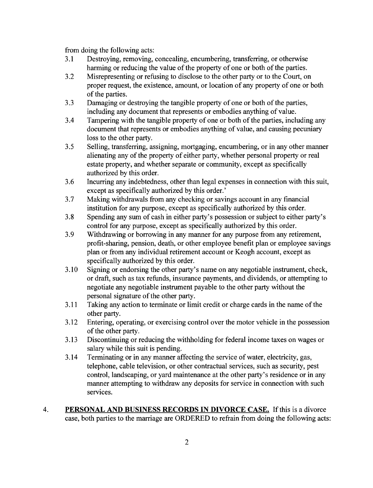from doing the following acts:

- 3.1 Destroying, removing, concealing, encumbering, transferring, or otherwise harming or reducing the value of the property of one or both of the parties.
- 3.2 Misrepresenting or refusing to disclose to the other party or to the Court, on proper request, the existence, amount, or location of any property of one or both of the parties.
- 3.3 Damaging or destroying the tangible property of one or both of the parties, including any document that represents or embodies anything of value.
- 3.4 Tampering with the tangible property of one or both of the parties, including any document that represents or embodies anything of value, and causing pecuniary loss to the other party.
- 3.5 Selling, transferring, assigning, mortgaging, encumbering, or in any other manner alienating any of the property of either party, whether personal property or real estate property, and whether separate or community, except as specifically authorized by this order.
- 3.6 Incurring any indebtedness, other than legal expenses in connection with this suit, except as specifically authorized by this order.'
- 3.7 Making withdrawals from any checking or savings account in any financial institution for any purpose, except as specifically authorized by this order.
- 3.8 Spending any sum of cash in either party's possession or subject to either party's control for any purpose, except as specifically authorized by this order.
- 3.9 Withdrawing or borrowing in any manner for any purpose from any retirement, profit-sharing, pension, death, or other employee benefit plan or employee savings plan or from any individual retirement account or Keogh account, except as specifically authorized by this order.
- 3.10 Signing or endorsing the other party's name on any negotiable instrument, check, or draft, such as tax refunds, insurance payments, and dividends, or attempting to negotiate any negotiable instrument payable to the other party without the personal signature of the other party.
- 3.11 Taking any action to terminate or limit credit or charge cards in the name of the other party.
- 3.12 Entering, operating, or exercising control over the motor vehicle in the possession of the other party.
- 3.13 Discontinuing or reducing the withholding for federal income taxes on wages or salary while this suit is pending.
- 3.14 Terminating or in any manner affecting the service of water, electricity, gas, telephone, cable television, or other contractual services, such as security, pest control, landscaping, or yard maintenance at the other party's residence or in any manner attempting to withdraw any deposits for service in connection with such services.
- 4. PERSONAL AND BUSINESS RECORDS IN DIVORCE CASE. If this is a divorce case, both parties to the marriage are ORDERED to refrain from doing the following acts: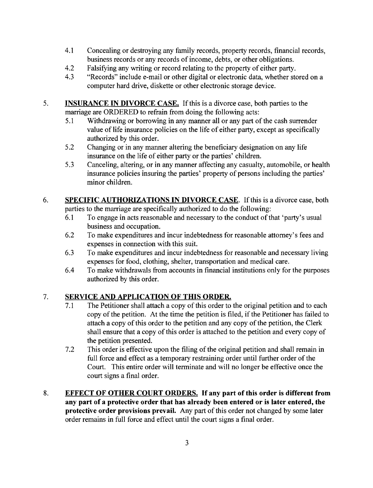- 4.1 Concealing or destroying any family records, property records, financial records, business records or any records of income, debts, or other obligations.
- 4.2 Ealsifying any writing or record relating to the property of either party.
- 4.3 "Records" include e-mail or other digital or electronic data, whether stored on a computer hard drive, diskette or other electronic storage device.
- 5. **INSURANCE IN DIVORCE CASE.** If this is a divorce case, both parties to the marriage are ORDERED to refrain from doing the following acts:
	- 5.1 Withdrawing or borrowing in any manner all or any part of the cash surrender value of life insurance policies on the life of either party, except as specifically authorized by this order.
	- 5.2 Changing or in any manner altering the beneficiary designation on any life insurance on the life of either party or the parties' children.
	- 5.3 Canceling, altering, or in any manner affecting any casualty, automobile, or health insurance policies insuring the parties' property of persons including the parties' minor children.
- 6. SPECIFIC AUTHORIZATIONS IN DIVORCE CASE. If this is a divorce case, both parties to the marriage are specifically authorized to do the following:
	- 6.1 To engage in acts reasonable and necessary to the conduct of that 'party's usual business and occupation.
	- 6.2 To make expenditures and incur indebtedness for reasonable attorney's fees and expenses in connection with this suit.
	- 6.3 To make expenditures and incur indebtedness for reasonable and necessary living expenses for food, clothing, shelter, transportation and medical care.
	- 6.4 To make withdrawals from accounts in financial institutions only for the purposes authorized by this order.

### 7. SERVICE AND APPLICATION OF THIS ORDER.

- 7.1 The Petitioner shall attach a copy of this order to the original petition and to each copy of the petition. At the time the petition is filed, if the Petitioner has failed to attach a copy of this order to the petition and any copy of the petition, the Clerk shall ensure that a copy of this order is attached to the petition and every copy of the petition presented.
- 7.2 This order is effective upon the filing of the original petition and shall remain in full force and effect as a temporary restraining order until further order of the Court. This entire order will terminate and will no longer be effective once the court signs a final order.
- 8. EFFECT OF OTHER COURT ORDERS. If any part of this order is different from any part of a protective order **that** has already been entered or is later entered, the protective order provisions prevail. Any part of this order not changed by some later order remains in full force and effect until the court signs a final order.